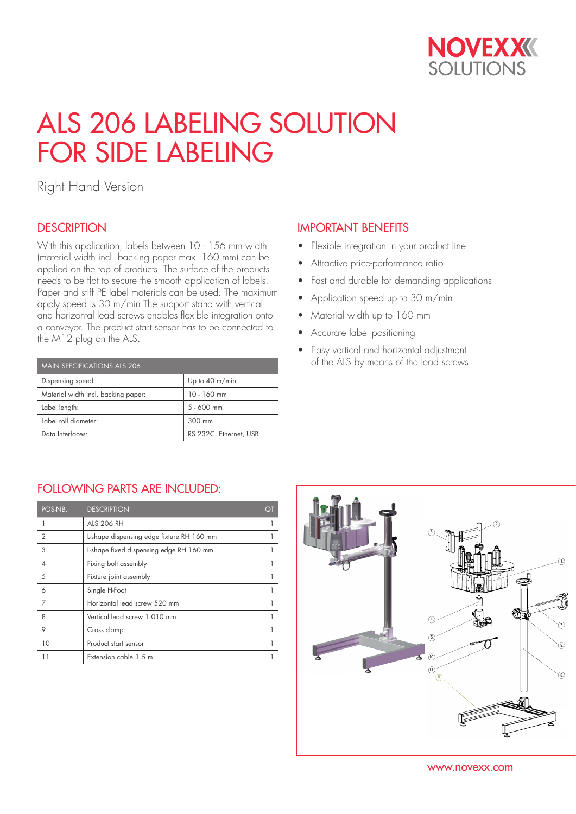

# ALS 206 LABELING SOLUTION FOR SIDE LABELING

Right Hand Version

### **DESCRIPTION**

With this application, labels between 10 - 156 mm width (material width incl. backing paper max. 160 mm) can be applied on the top of products. The surface of the products needs to be flat to secure the smooth application of labels. Paper and stiff PE label materials can be used. The maximum apply speed is 30 m/min.The support stand with vertical and horizontal lead screws enables flexible integration onto a conveyor. The product start sensor has to be connected to the M12 plug on the ALS.

| MAIN SPECIFICATIONS ALS 206         |                        |  |  |  |
|-------------------------------------|------------------------|--|--|--|
| Dispensing speed:                   | Up to 40 m/min         |  |  |  |
| Material width incl. backing paper: | $10 - 160$ mm          |  |  |  |
| Label length:                       | $5 - 600$ mm           |  |  |  |
| Label roll diameter:                | 300 mm                 |  |  |  |
| Data Interfaces:                    | RS 232C, Ethernet, USB |  |  |  |

#### IMPORTANT BENEFITS

- Flexible integration in your product line
- Attractive price-performance ratio
- Fast and durable for demanding applications
- Application speed up to 30 m/min
- Material width up to 160 mm
- Accurate label positioning
- Easy vertical and horizontal adjustment of the ALS by means of the lead screws

#### FOLLOWING PARTS ARE INCLUDED:

| POS-NB.        | <b>DESCRIPTION</b>                        | Qī |
|----------------|-------------------------------------------|----|
|                | <b>ALS 206 RH</b>                         |    |
| $\overline{2}$ | L-shape dispensing edge fixture RH 160 mm |    |
| 3              | L-shape fixed dispensing edge RH 160 mm   |    |
|                | Fixing bolt assembly                      |    |
| 5              | Fixture joint assembly                    |    |
| 6              | Single H-Foot                             |    |
| 7              | Horizontal lead screw 520 mm              |    |
| 8              | Vertical lead screw 1.010 mm              |    |
| 9              | Cross clamp                               |    |
| 10             | Product start sensor                      |    |
| 11             | Extension cable 1.5 m                     |    |



www.novexx.com